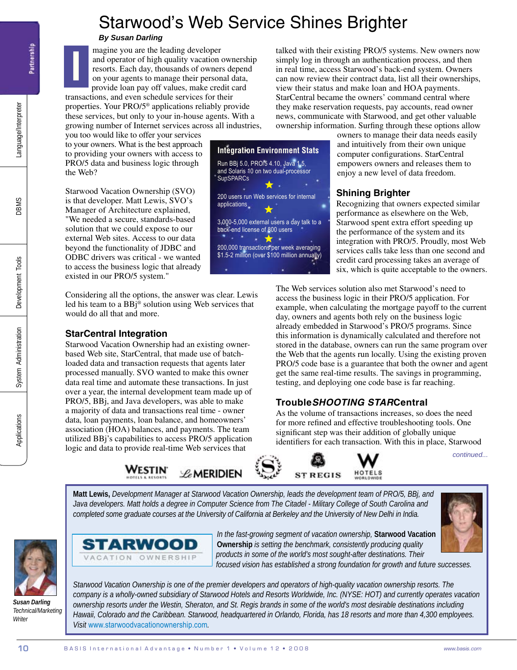# Starwood's Web Service Shines Brighter

**Integration Environment Stats**  Run BBj 5.0, PRO/5 4.10, Java 1.5, and Solaris 10 on two dual-processor

200 users run Web services for internal

3,000-5,000 external users a day talk to a back-end license of 800 users

200,000 transactions per week averaging \$1.5-2 million (over \$100 million annually)

**SunSPARCs** 

applications

## *By Susan Darling*

magine you are the leading developer and operator of high quality vacation ownership resorts. Each day, thousands of owners depend on your agents to manage their personal data, provide loan pay off values, make credit card

transactions, and even schedule services for their properties. Your PRO/5® applications reliably provide these services, but only to your in-house agents. With a growing number of Internet services across all industries,

you too would like to offer your services to your owners. What is the best approach to providing your owners with access to PRO/5 data and business logic through the Web?

Starwood Vacation Ownership (SVO) is that developer. Matt Lewis, SVO's Manager of Architecture explained, "We needed a secure, standards-based solution that we could expose to our external Web sites. Access to our data beyond the functionality of JDBC and ODBC drivers was critical - we wanted to access the business logic that already existed in our PRO/5 system."

Considering all the options, the answer was clear. Lewis led his team to a BBj® solution using Web services that would do all that and more.

## **StarCentral Integration**

**10** B A S I n a l A d v a n a l A d v a n a l A d v a n a l A d v a n a l A d v a n a l A d v a n a l A d v a n a l A d v a n a l A d v a n a l A d v a n a l A d v a n a l A d v a n a l A d v a n a l A d v a n a l A d v Starwood Vacation Ownership had an existing ownerbased Web site, StarCentral, that made use of batchloaded data and transaction requests that agents later processed manually. SVO wanted to make this owner data real time and automate these transactions. In just over a year, the internal development team made up of PRO/5, BBj, and Java developers, was able to make a majority of data and transactions real time - owner data, loan payments, loan balance, and homeowners' association (HOA) balances, and payments. The team utilized BBj's capabilities to access PRO/5 application logic and data to provide real-time Web services that

talked with their existing PRO/5 systems. New owners now simply log in through an authentication process, and then in real time, access Starwood's back-end system. Owners can now review their contract data, list all their ownerships, view their status and make loan and HOA payments. StarCentral became the owners' command central where they make reservation requests, pay accounts, read owner news, communicate with Starwood, and get other valuable ownership information. Surfing through these options allow

owners to manage their data needs easily and intuitively from their own unique computer configurations. StarCentral empowers owners and releases them to enjoy a new level of data freedom.

## **Shining Brighter**

Recognizing that owners expected similar performance as elsewhere on the Web, Starwood spent extra effort speeding up the performance of the system and its integration with PRO/5. Proudly, most Web services calls take less than one second and credit card processing takes an average of six, which is quite acceptable to the owners.

The Web services solution also met Starwood's need to access the business logic in their PRO/5 application. For example, when calculating the mortgage payoff to the current day, owners and agents both rely on the business logic already embedded in Starwood's PRO/5 programs. Since this information is dynamically calculated and therefore not stored in the database, owners can run the same program over the Web that the agents run locally. Using the existing proven PRO/5 code base is a guarantee that both the owner and agent get the same real-time results. The savings in programming, testing, and deploying one code base is far reaching.

## **Trouble***Shooting Star***Central**

As the volume of transactions increases, so does the need for more refined and effective troubleshooting tools. One significant step was their addition of globally unique identifiers for each transaction. With this in place, Starwood

*continued...*

**Matt Lewis,** *Development Manager at Starwood Vacation Ownership, leads the development team of PRO/5, BBj, and*  Java developers. Matt holds a degree in Computer Science from The Citadel - Military College of South Carolina and *completed some graduate courses at the University of California at Berkeley and the University of New Delhi in India.*



*Susan Darling Technical/Marketing Writer*



*In the fast-growing segment of vacation ownership,* **Starwood Vacation Ownership** *is setting the benchmark, consistently producing quality products in some of the world's most sought-after destinations. Their* 

*focused vision has established a strong foundation for growth and future successes.* 

*Starwood Vacation Ownership is one of the premier developers and operators of high-quality vacation ownership resorts. The company is a wholly-owned subsidiary of Starwood Hotels and Resorts Worldwide, Inc. (NYSE: HOT) and currently operates vacation ownership resorts under the Westin, Sheraton, and St. Regis brands in some of the world's most desirable destinations including Hawaii, Colorado and the Caribbean. Starwood, headquartered in Orlando, Florida, has 18 resorts and more than 4,300 employees. Visit* www.starwoodvacationownership.com*.*

**I**